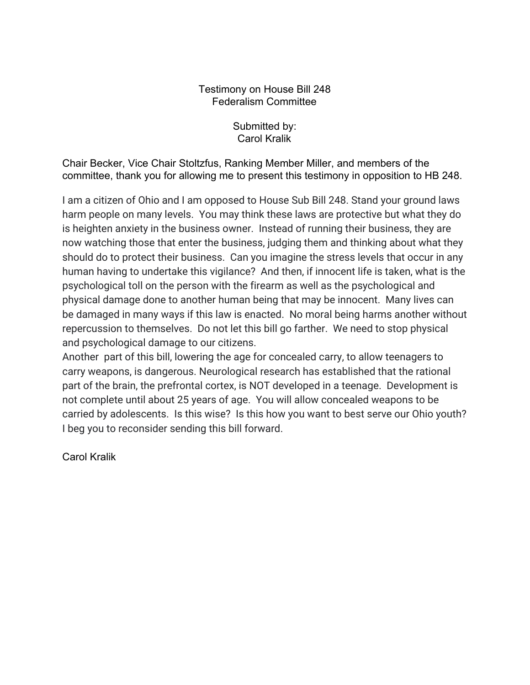## Testimony on House Bill 248 Federalism Committee

Submitted by: Carol Kralik

Chair Becker, Vice Chair Stoltzfus, Ranking Member Miller, and members of the committee, thank you for allowing me to present this testimony in opposition to HB 248.

I am a citizen of Ohio and I am opposed to House Sub Bill 248. Stand your ground laws harm people on many levels. You may think these laws are protective but what they do is heighten anxiety in the business owner. Instead of running their business, they are now watching those that enter the business, judging them and thinking about what they should do to protect their business. Can you imagine the stress levels that occur in any human having to undertake this vigilance? And then, if innocent life is taken, what is the psychological toll on the person with the firearm as well as the psychological and physical damage done to another human being that may be innocent. Many lives can be damaged in many ways if this law is enacted. No moral being harms another without repercussion to themselves. Do not let this bill go farther. We need to stop physical and psychological damage to our citizens.

Another part of this bill, lowering the age for concealed carry, to allow teenagers to carry weapons, is dangerous. Neurological research has established that the rational part of the brain, the prefrontal cortex, is NOT developed in a teenage. Development is not complete until about 25 years of age. You will allow concealed weapons to be carried by adolescents. Is this wise? Is this how you want to best serve our Ohio youth? I beg you to reconsider sending this bill forward.

Carol Kralik